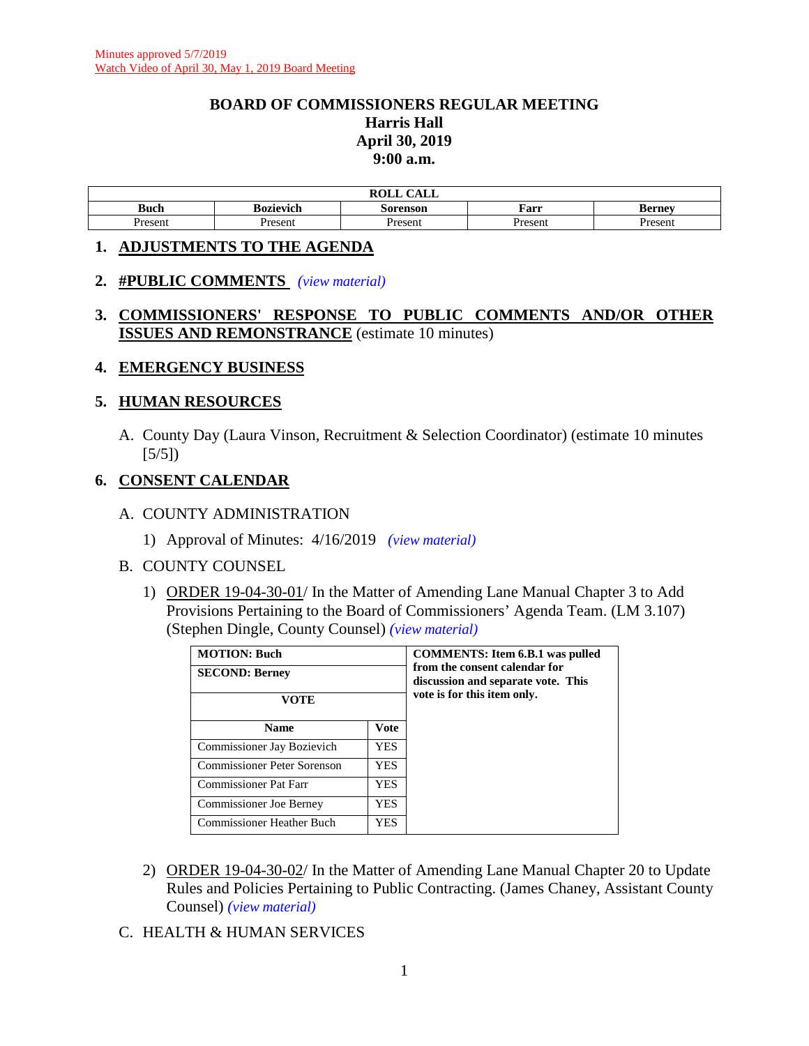#### **BOARD OF COMMISSIONERS REGULAR MEETING Harris Hall April 30, 2019 9:00 a.m.**

|             |           | $\sqrt{1 + \pi}$<br><b>ROLL</b><br>ALL |              |         |
|-------------|-----------|----------------------------------------|--------------|---------|
| <b>Buch</b> | Bozievich | Sorenson                               | <b>F</b> arr | Rerney  |
| Present     | Present   | $P$ resent                             | Present      | Present |

#### **1. ADJUSTMENTS TO THE AGENDA**

- **2. #PUBLIC COMMENTS** *(view [material\)](http://www.lanecounty.org/UserFiles/Servers/Server_3585797/File/Government/BCC/2019/2019_AGENDAS/043019agenda/PublicComment4_30_19.pdf)*
- **3. COMMISSIONERS' RESPONSE TO PUBLIC COMMENTS AND/OR OTHER ISSUES AND REMONSTRANCE** (estimate 10 minutes)
- **4. EMERGENCY BUSINESS**

#### **5. HUMAN RESOURCES**

A. County Day (Laura Vinson, Recruitment & Selection Coordinator) (estimate 10 minutes  $[5/5]$ 

# **6. CONSENT CALENDAR**

- A. COUNTY ADMINISTRATION
	- 1) Approval of Minutes: 4/16/2019 *(view [material\)](http://www.lanecounty.org/UserFiles/Servers/Server_3585797/File/Government/BCC/2019/2019_AGENDAS/043019agenda/T.6.A.1.pdf)*

#### B. COUNTY COUNSEL

1) ORDER 19-04-30-01/ In the Matter of Amending Lane Manual Chapter 3 to Add Provisions Pertaining to the Board of Commissioners' Agenda Team. (LM 3.107) (Stephen Dingle, County Counsel) *(view [material\)](http://www.lanecounty.org/UserFiles/Servers/Server_3585797/File/Government/BCC/2019/2019_AGENDAS/043019agenda/T.6.B.1.pdf)*

| <b>MOTION: Buch</b><br><b>SECOND: Berney</b> |             | <b>COMMENTS:</b> Item 6.B.1 was pulled<br>from the consent calendar for<br>discussion and separate vote. This |
|----------------------------------------------|-------------|---------------------------------------------------------------------------------------------------------------|
|                                              |             |                                                                                                               |
| <b>Name</b>                                  | <b>Vote</b> |                                                                                                               |
| Commissioner Jay Bozievich                   | YES.        |                                                                                                               |
| Commissioner Peter Sorenson                  | YES.        |                                                                                                               |
| Commissioner Pat Farr                        | YES.        |                                                                                                               |
| <b>Commissioner Joe Berney</b>               | YES         |                                                                                                               |
| <b>Commissioner Heather Buch</b>             | YES.        |                                                                                                               |

- 2) ORDER 19-04-30-02/ In the Matter of Amending Lane Manual Chapter 20 to Update Rules and Policies Pertaining to Public Contracting. (James Chaney, Assistant County Counsel) *(view [material\)](http://www.lanecounty.org/UserFiles/Servers/Server_3585797/File/Government/BCC/2019/2019_AGENDAS/043019agenda/T.6.B.2.pdf)*
- C. HEALTH & HUMAN SERVICES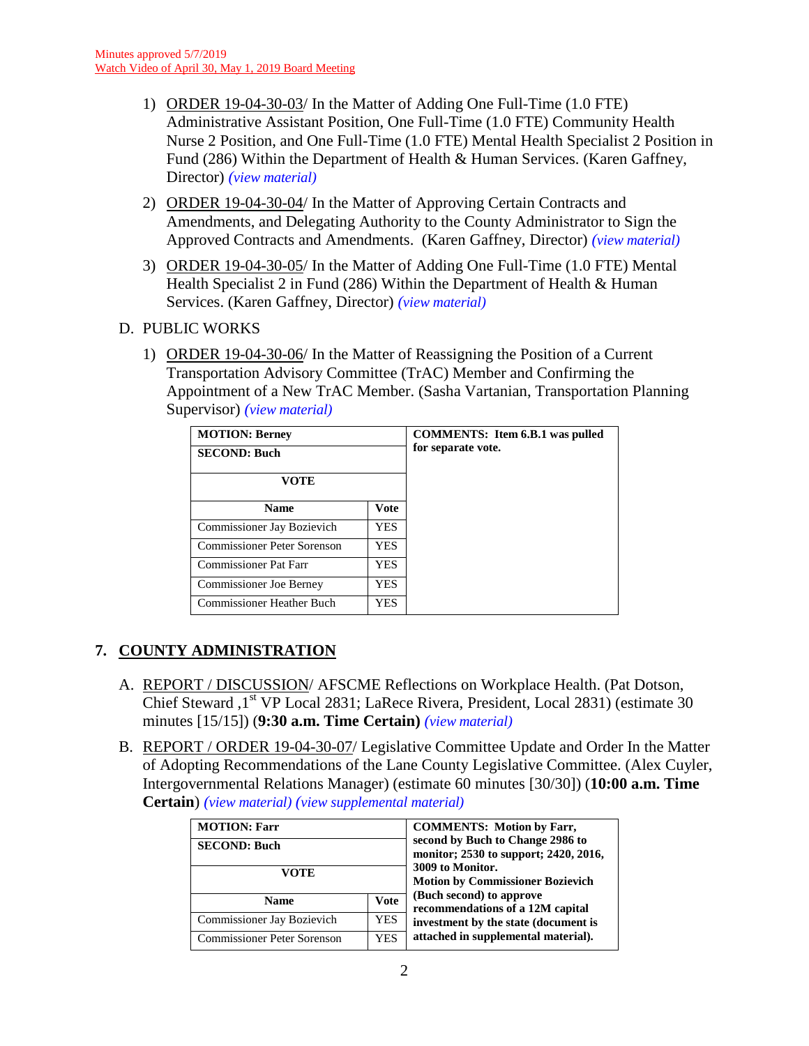- 1) ORDER 19-04-30-03/ In the Matter of Adding One Full-Time (1.0 FTE) Administrative Assistant Position, One Full-Time (1.0 FTE) Community Health Nurse 2 Position, and One Full-Time (1.0 FTE) Mental Health Specialist 2 Position in Fund (286) Within the Department of Health & Human Services. (Karen Gaffney, Director) *(view [material\)](http://www.lanecounty.org/UserFiles/Servers/Server_3585797/File/Government/BCC/2019/2019_AGENDAS/043019agenda/T.6.C.1.pdf)*
- 2) ORDER 19-04-30-04/ In the Matter of Approving Certain Contracts and Amendments, and Delegating Authority to the County Administrator to Sign the Approved Contracts and Amendments. (Karen Gaffney, Director) *(view [material\)](http://www.lanecounty.org/UserFiles/Servers/Server_3585797/File/Government/BCC/2019/2019_AGENDAS/043019agenda/T.6.C.2.pdf)*
- 3) ORDER 19-04-30-05/ In the Matter of Adding One Full-Time (1.0 FTE) Mental Health Specialist 2 in Fund (286) Within the Department of Health & Human Services. (Karen Gaffney, Director) *(view [material\)](http://www.lanecounty.org/UserFiles/Servers/Server_3585797/File/Government/BCC/2019/2019_AGENDAS/043019agenda/T.6.C.3.pdf)*
- D. PUBLIC WORKS
	- 1) ORDER 19-04-30-06/ In the Matter of Reassigning the Position of a Current Transportation Advisory Committee (TrAC) Member and Confirming the Appointment of a New TrAC Member. (Sasha Vartanian, Transportation Planning Supervisor) *(view [material\)](http://www.lanecounty.org/UserFiles/Servers/Server_3585797/File/Government/BCC/2019/2019_AGENDAS/043019agenda/T.6.D.1.pdf)*

| <b>MOTION: Berney</b>          |      | <b>COMMENTS:</b> Item 6.B.1 was pulled |
|--------------------------------|------|----------------------------------------|
| <b>SECOND: Buch</b>            |      | for separate vote.                     |
| VOTE                           |      |                                        |
| <b>Name</b>                    | Vote |                                        |
| Commissioner Jay Bozievich     | YES. |                                        |
| Commissioner Peter Sorenson    | YES  |                                        |
| <b>Commissioner Pat Farr</b>   | YES  |                                        |
| <b>Commissioner Joe Berney</b> | YES  |                                        |
| Commissioner Heather Buch      | YES. |                                        |

# **7. COUNTY ADMINISTRATION**

- A. REPORT / DISCUSSION/ AFSCME Reflections on Workplace Health. (Pat Dotson, Chief Steward , 1<sup>st</sup> VP Local 2831; LaRece Rivera, President, Local 2831) (estimate 30 minutes [15/15]) (**9:30 a.m. Time Certain)** *(view [material\)](http://www.lanecounty.org/UserFiles/Servers/Server_3585797/File/Government/BCC/2019/2019_AGENDAS/043019agenda/T.7.A.pdf)*
- B. REPORT / ORDER 19-04-30-07/ Legislative Committee Update and Order In the Matter of Adopting Recommendations of the Lane County Legislative Committee. (Alex Cuyler, Intergovernmental Relations Manager) (estimate 60 minutes [30/30]) (**10:00 a.m. Time Certain**) *(view [material\)](http://www.lanecounty.org/UserFiles/Servers/Server_3585797/File/Government/BCC/2019/2019_AGENDAS/043019agenda/T.7.B.pdf) (view [supplemental material\)](http://www.lanecounty.org/UserFiles/Servers/Server_3585797/File/Government/BCC/2019/2019_AGENDAS/043019agenda/T.7.BSupp.pdf)*

| <b>MOTION: Farr</b><br><b>SECOND: Buch</b><br>VOTE |             | <b>COMMENTS: Motion by Farr,</b><br>second by Buch to Change 2986 to<br>monitor; 2530 to support; 2420, 2016,<br>3009 to Monitor.<br><b>Motion by Commissioner Bozievich</b> |
|----------------------------------------------------|-------------|------------------------------------------------------------------------------------------------------------------------------------------------------------------------------|
| <b>Name</b>                                        | <b>Vote</b> | (Buch second) to approve<br>recommendations of a 12M capital                                                                                                                 |
| <b>Commissioner Jay Bozievich</b>                  | <b>YES</b>  | investment by the state (document is                                                                                                                                         |
| <b>Commissioner Peter Sorenson</b>                 | <b>YES</b>  | attached in supplemental material).                                                                                                                                          |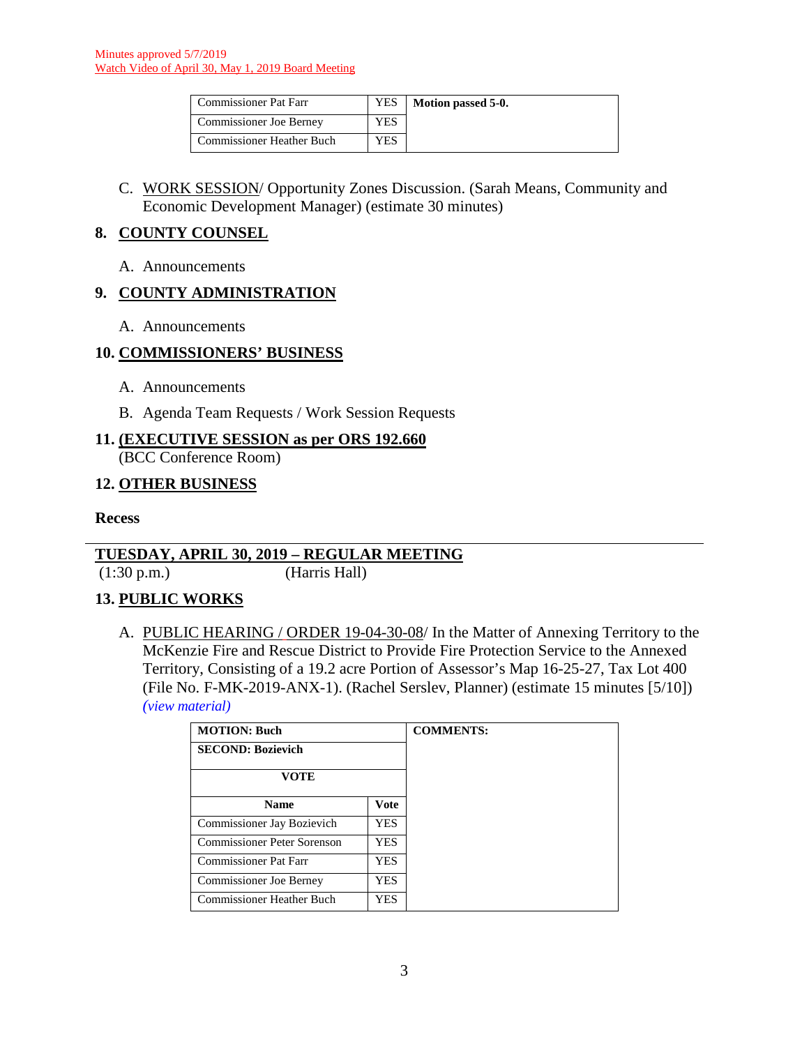| <b>Commissioner Pat Farr</b> | YES | Motion passed 5-0. |
|------------------------------|-----|--------------------|
| Commissioner Joe Berney      | YES |                    |
| Commissioner Heather Buch    | YES |                    |

C. WORK SESSION/ Opportunity Zones Discussion. (Sarah Means, Community and Economic Development Manager) (estimate 30 minutes)

#### **8. COUNTY COUNSEL**

A. Announcements

# **9. COUNTY ADMINISTRATION**

A. Announcements

### **10. COMMISSIONERS' BUSINESS**

- A. Announcements
- B. Agenda Team Requests / Work Session Requests

# **11. (EXECUTIVE SESSION as per ORS 192.660**

(BCC Conference Room)

### **12. OTHER BUSINESS**

#### **Recess**

### **TUESDAY, APRIL 30, 2019 – REGULAR MEETING**

(1:30 p.m.) (Harris Hall)

### **13. PUBLIC WORKS**

A. PUBLIC HEARING / ORDER 19-04-30-08/ In the Matter of Annexing Territory to the McKenzie Fire and Rescue District to Provide Fire Protection Service to the Annexed Territory, Consisting of a 19.2 acre Portion of Assessor's Map 16-25-27, Tax Lot 400 (File No. F-MK-2019-ANX-1). (Rachel Serslev, Planner) (estimate 15 minutes [5/10]) *(view [material\)](http://www.lanecounty.org/UserFiles/Servers/Server_3585797/File/Government/BCC/2019/2019_AGENDAS/043019agenda/T.13.A.pdf)*

| <b>MOTION: Buch</b>              |             | <b>COMMENTS:</b> |
|----------------------------------|-------------|------------------|
| <b>SECOND: Bozievich</b>         |             |                  |
| <b>VOTE</b>                      |             |                  |
| <b>Name</b>                      | <b>Vote</b> |                  |
| Commissioner Jay Bozievich       | YES.        |                  |
| Commissioner Peter Sorenson      | <b>YES</b>  |                  |
| <b>Commissioner Pat Farr</b>     | YES.        |                  |
| <b>Commissioner Joe Berney</b>   | YES.        |                  |
| <b>Commissioner Heather Buch</b> | YES         |                  |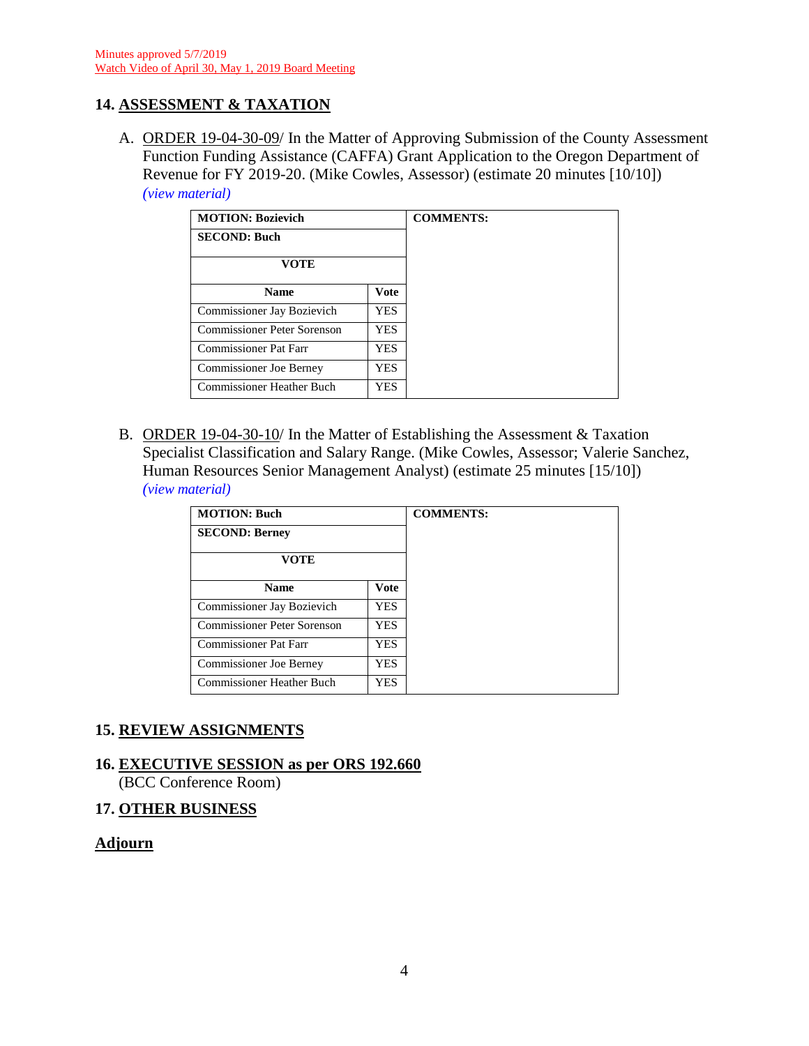# **14. ASSESSMENT & TAXATION**

A. ORDER 19-04-30-09/ In the Matter of Approving Submission of the County Assessment Function Funding Assistance (CAFFA) Grant Application to the Oregon Department of Revenue for FY 2019-20. (Mike Cowles, Assessor) (estimate 20 minutes [10/10]) *(view [material\)](http://www.lanecounty.org/UserFiles/Servers/Server_3585797/File/Government/BCC/2019/2019_AGENDAS/043019agenda/T.14.A.pdf)*

| <b>MOTION: Bozievich</b>         |             |
|----------------------------------|-------------|
| <b>SECOND: Buch</b>              |             |
| VOTE                             |             |
| <b>Name</b>                      | <b>Vote</b> |
| Commissioner Jay Bozievich       | <b>YES</b>  |
| Commissioner Peter Sorenson      | <b>YES</b>  |
| <b>Commissioner Pat Farr</b>     | <b>YES</b>  |
| Commissioner Joe Berney          | <b>YES</b>  |
| <b>Commissioner Heather Buch</b> | YES         |

B. ORDER 19-04-30-10/ In the Matter of Establishing the Assessment & Taxation Specialist Classification and Salary Range. (Mike Cowles, Assessor; Valerie Sanchez, Human Resources Senior Management Analyst) (estimate 25 minutes [15/10]) *(view [material\)](http://www.lanecounty.org/UserFiles/Servers/Server_3585797/File/Government/BCC/2019/2019_AGENDAS/043019agenda/T.14.B.pdf)*

| <b>MOTION: Buch</b>            |            | <b>COMMENTS:</b> |
|--------------------------------|------------|------------------|
| <b>SECOND: Berney</b>          |            |                  |
| VOTE                           |            |                  |
| <b>Name</b>                    | Vote       |                  |
| Commissioner Jay Bozievich     | YES.       |                  |
| Commissioner Peter Sorenson    | <b>YES</b> |                  |
| Commissioner Pat Farr          | YES.       |                  |
| <b>Commissioner Joe Berney</b> | YES.       |                  |
| Commissioner Heather Buch      | <b>YES</b> |                  |

### **15. REVIEW ASSIGNMENTS**

### **16. EXECUTIVE SESSION as per ORS 192.660**

(BCC Conference Room)

#### **17. OTHER BUSINESS**

#### **Adjourn**